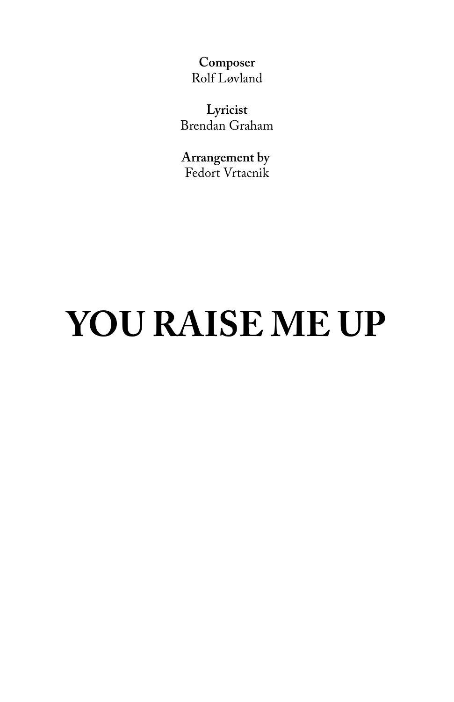## **YOU RAISE ME UP**

**Composer** Rolf Løvland

**Lyricist** Brendan Graham

**Arrangement by**  Fedort Vrtacnik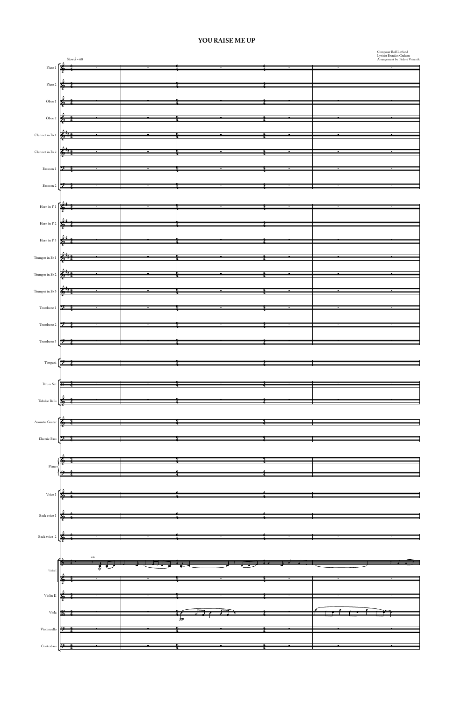

## **YOU RAISE ME UP**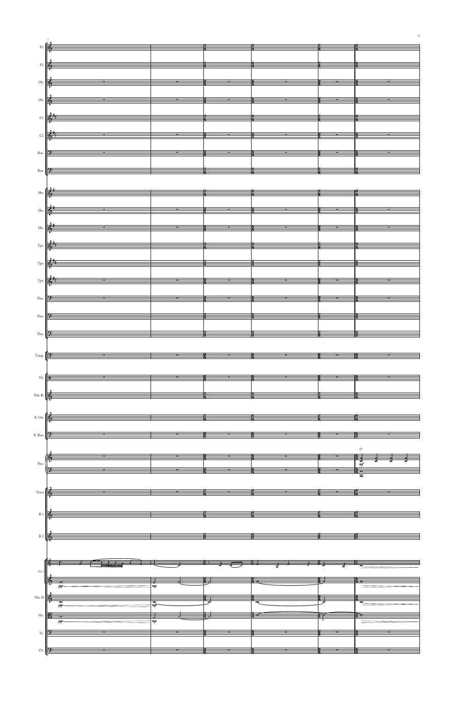|                   | Fl. $\frac{2}{4}$ $\frac{1}{4}$                                                                                                                                                                                                                                                                                                                                                          |                                                                                                                                                                                                                                                                                               |                                                                                                                                                                                                                                                                                               |                                                                                                                                                                                                                                                                                                                                                                                                                                                                                                                                                                      |                                                                       |                                                                                                                                                                                                                                                                                                                     |
|-------------------|------------------------------------------------------------------------------------------------------------------------------------------------------------------------------------------------------------------------------------------------------------------------------------------------------------------------------------------------------------------------------------------|-----------------------------------------------------------------------------------------------------------------------------------------------------------------------------------------------------------------------------------------------------------------------------------------------|-----------------------------------------------------------------------------------------------------------------------------------------------------------------------------------------------------------------------------------------------------------------------------------------------|----------------------------------------------------------------------------------------------------------------------------------------------------------------------------------------------------------------------------------------------------------------------------------------------------------------------------------------------------------------------------------------------------------------------------------------------------------------------------------------------------------------------------------------------------------------------|-----------------------------------------------------------------------|---------------------------------------------------------------------------------------------------------------------------------------------------------------------------------------------------------------------------------------------------------------------------------------------------------------------|
|                   |                                                                                                                                                                                                                                                                                                                                                                                          |                                                                                                                                                                                                                                                                                               |                                                                                                                                                                                                                                                                                               |                                                                                                                                                                                                                                                                                                                                                                                                                                                                                                                                                                      |                                                                       |                                                                                                                                                                                                                                                                                                                     |
|                   |                                                                                                                                                                                                                                                                                                                                                                                          |                                                                                                                                                                                                                                                                                               |                                                                                                                                                                                                                                                                                               |                                                                                                                                                                                                                                                                                                                                                                                                                                                                                                                                                                      |                                                                       |                                                                                                                                                                                                                                                                                                                     |
|                   |                                                                                                                                                                                                                                                                                                                                                                                          |                                                                                                                                                                                                                                                                                               |                                                                                                                                                                                                                                                                                               | FI. $\frac{1}{4}$                                                                                                                                                                                                                                                                                                                                                                                                                                                                                                                                                    |                                                                       |                                                                                                                                                                                                                                                                                                                     |
|                   |                                                                                                                                                                                                                                                                                                                                                                                          |                                                                                                                                                                                                                                                                                               |                                                                                                                                                                                                                                                                                               |                                                                                                                                                                                                                                                                                                                                                                                                                                                                                                                                                                      |                                                                       |                                                                                                                                                                                                                                                                                                                     |
|                   |                                                                                                                                                                                                                                                                                                                                                                                          |                                                                                                                                                                                                                                                                                               |                                                                                                                                                                                                                                                                                               | Ob. $\frac{2}{4}$ $\frac{2}{4}$ $\frac{2}{4}$ $\frac{2}{4}$ $\frac{2}{4}$ $\frac{2}{4}$ $\frac{2}{4}$ $\frac{2}{4}$                                                                                                                                                                                                                                                                                                                                                                                                                                                  |                                                                       |                                                                                                                                                                                                                                                                                                                     |
|                   |                                                                                                                                                                                                                                                                                                                                                                                          |                                                                                                                                                                                                                                                                                               |                                                                                                                                                                                                                                                                                               |                                                                                                                                                                                                                                                                                                                                                                                                                                                                                                                                                                      |                                                                       |                                                                                                                                                                                                                                                                                                                     |
|                   |                                                                                                                                                                                                                                                                                                                                                                                          |                                                                                                                                                                                                                                                                                               |                                                                                                                                                                                                                                                                                               |                                                                                                                                                                                                                                                                                                                                                                                                                                                                                                                                                                      |                                                                       |                                                                                                                                                                                                                                                                                                                     |
|                   | Ob. $\frac{1}{4}$                                                                                                                                                                                                                                                                                                                                                                        |                                                                                                                                                                                                                                                                                               |                                                                                                                                                                                                                                                                                               | $\sim 100$ m s $^{-1}$ .                                                                                                                                                                                                                                                                                                                                                                                                                                                                                                                                             | $\sim$ $\sim$ $\sim$                                                  |                                                                                                                                                                                                                                                                                                                     |
|                   |                                                                                                                                                                                                                                                                                                                                                                                          |                                                                                                                                                                                                                                                                                               |                                                                                                                                                                                                                                                                                               |                                                                                                                                                                                                                                                                                                                                                                                                                                                                                                                                                                      |                                                                       |                                                                                                                                                                                                                                                                                                                     |
|                   |                                                                                                                                                                                                                                                                                                                                                                                          |                                                                                                                                                                                                                                                                                               |                                                                                                                                                                                                                                                                                               | Cl. $\frac{2}{4}$ $\frac{4}{4}$ $\frac{2}{4}$ $\frac{2}{4}$ $\frac{2}{4}$ $\frac{2}{4}$ $\frac{2}{4}$ $\frac{2}{4}$                                                                                                                                                                                                                                                                                                                                                                                                                                                  |                                                                       |                                                                                                                                                                                                                                                                                                                     |
|                   |                                                                                                                                                                                                                                                                                                                                                                                          |                                                                                                                                                                                                                                                                                               |                                                                                                                                                                                                                                                                                               |                                                                                                                                                                                                                                                                                                                                                                                                                                                                                                                                                                      |                                                                       |                                                                                                                                                                                                                                                                                                                     |
|                   |                                                                                                                                                                                                                                                                                                                                                                                          |                                                                                                                                                                                                                                                                                               |                                                                                                                                                                                                                                                                                               |                                                                                                                                                                                                                                                                                                                                                                                                                                                                                                                                                                      |                                                                       |                                                                                                                                                                                                                                                                                                                     |
|                   |                                                                                                                                                                                                                                                                                                                                                                                          |                                                                                                                                                                                                                                                                                               |                                                                                                                                                                                                                                                                                               | Cl. $\frac{2}{3}$ $\frac{4}{3}$ $\frac{4}{3}$ $\frac{4}{3}$ $\frac{4}{3}$ $\frac{4}{3}$ $\frac{4}{3}$ $\frac{4}{3}$                                                                                                                                                                                                                                                                                                                                                                                                                                                  |                                                                       |                                                                                                                                                                                                                                                                                                                     |
|                   |                                                                                                                                                                                                                                                                                                                                                                                          |                                                                                                                                                                                                                                                                                               |                                                                                                                                                                                                                                                                                               |                                                                                                                                                                                                                                                                                                                                                                                                                                                                                                                                                                      |                                                                       |                                                                                                                                                                                                                                                                                                                     |
| Bsn.              |                                                                                                                                                                                                                                                                                                                                                                                          |                                                                                                                                                                                                                                                                                               |                                                                                                                                                                                                                                                                                               | $\frac{4}{2}$                                                                                                                                                                                                                                                                                                                                                                                                                                                                                                                                                        |                                                                       |                                                                                                                                                                                                                                                                                                                     |
|                   |                                                                                                                                                                                                                                                                                                                                                                                          |                                                                                                                                                                                                                                                                                               |                                                                                                                                                                                                                                                                                               |                                                                                                                                                                                                                                                                                                                                                                                                                                                                                                                                                                      |                                                                       |                                                                                                                                                                                                                                                                                                                     |
|                   |                                                                                                                                                                                                                                                                                                                                                                                          |                                                                                                                                                                                                                                                                                               |                                                                                                                                                                                                                                                                                               |                                                                                                                                                                                                                                                                                                                                                                                                                                                                                                                                                                      |                                                                       |                                                                                                                                                                                                                                                                                                                     |
|                   |                                                                                                                                                                                                                                                                                                                                                                                          | $\frac{2}{3}$ and $\frac{1}{3}$                                                                                                                                                                                                                                                               |                                                                                                                                                                                                                                                                                               |                                                                                                                                                                                                                                                                                                                                                                                                                                                                                                                                                                      | $\frac{1}{2}$ $\frac{1}{2}$ $\frac{1}{2}$ $\frac{1}{2}$ $\frac{1}{2}$ |                                                                                                                                                                                                                                                                                                                     |
|                   |                                                                                                                                                                                                                                                                                                                                                                                          |                                                                                                                                                                                                                                                                                               |                                                                                                                                                                                                                                                                                               |                                                                                                                                                                                                                                                                                                                                                                                                                                                                                                                                                                      |                                                                       |                                                                                                                                                                                                                                                                                                                     |
|                   |                                                                                                                                                                                                                                                                                                                                                                                          |                                                                                                                                                                                                                                                                                               |                                                                                                                                                                                                                                                                                               |                                                                                                                                                                                                                                                                                                                                                                                                                                                                                                                                                                      |                                                                       |                                                                                                                                                                                                                                                                                                                     |
|                   | $H_{\text{th}}$ $\begin{bmatrix} \frac{\partial}{\partial y} & \frac{\partial}{\partial z} & \frac{\partial}{\partial x} & \frac{\partial}{\partial y} & \frac{\partial}{\partial z} \\ \frac{\partial}{\partial z} & \frac{\partial}{\partial z} & \frac{\partial}{\partial z} & \frac{\partial}{\partial z} & \frac{\partial}{\partial z} & \frac{\partial}{\partial z} \end{bmatrix}$ |                                                                                                                                                                                                                                                                                               |                                                                                                                                                                                                                                                                                               |                                                                                                                                                                                                                                                                                                                                                                                                                                                                                                                                                                      |                                                                       |                                                                                                                                                                                                                                                                                                                     |
|                   |                                                                                                                                                                                                                                                                                                                                                                                          |                                                                                                                                                                                                                                                                                               |                                                                                                                                                                                                                                                                                               |                                                                                                                                                                                                                                                                                                                                                                                                                                                                                                                                                                      |                                                                       |                                                                                                                                                                                                                                                                                                                     |
|                   |                                                                                                                                                                                                                                                                                                                                                                                          |                                                                                                                                                                                                                                                                                               |                                                                                                                                                                                                                                                                                               |                                                                                                                                                                                                                                                                                                                                                                                                                                                                                                                                                                      |                                                                       |                                                                                                                                                                                                                                                                                                                     |
|                   | $H_{\text{B}}$ , $\frac{1}{2}$ , $\frac{1}{2}$ , $\frac{1}{2}$ , $\frac{1}{2}$ , $\frac{1}{2}$ , $\frac{1}{2}$ , $\frac{1}{2}$ , $\frac{1}{2}$ , $\frac{1}{2}$                                                                                                                                                                                                                           |                                                                                                                                                                                                                                                                                               |                                                                                                                                                                                                                                                                                               |                                                                                                                                                                                                                                                                                                                                                                                                                                                                                                                                                                      |                                                                       |                                                                                                                                                                                                                                                                                                                     |
|                   |                                                                                                                                                                                                                                                                                                                                                                                          |                                                                                                                                                                                                                                                                                               |                                                                                                                                                                                                                                                                                               |                                                                                                                                                                                                                                                                                                                                                                                                                                                                                                                                                                      |                                                                       |                                                                                                                                                                                                                                                                                                                     |
|                   | $\lim_{\epsilon \to 0} \frac{2}{\epsilon_0^2}$ and $\lim_{\epsilon \to 0} \frac{2}{\epsilon_1}$ and $\lim_{\epsilon \to 0} \frac{2}{\epsilon_1}$                                                                                                                                                                                                                                         |                                                                                                                                                                                                                                                                                               |                                                                                                                                                                                                                                                                                               | $\overline{\phantom{a}}$                                                                                                                                                                                                                                                                                                                                                                                                                                                                                                                                             |                                                                       |                                                                                                                                                                                                                                                                                                                     |
|                   |                                                                                                                                                                                                                                                                                                                                                                                          |                                                                                                                                                                                                                                                                                               |                                                                                                                                                                                                                                                                                               |                                                                                                                                                                                                                                                                                                                                                                                                                                                                                                                                                                      |                                                                       |                                                                                                                                                                                                                                                                                                                     |
|                   |                                                                                                                                                                                                                                                                                                                                                                                          |                                                                                                                                                                                                                                                                                               |                                                                                                                                                                                                                                                                                               |                                                                                                                                                                                                                                                                                                                                                                                                                                                                                                                                                                      |                                                                       |                                                                                                                                                                                                                                                                                                                     |
|                   | $T_{\text{pt.}}$ $\left  \frac{2}{3} \frac{t}{3} \right $                                                                                                                                                                                                                                                                                                                                |                                                                                                                                                                                                                                                                                               |                                                                                                                                                                                                                                                                                               |                                                                                                                                                                                                                                                                                                                                                                                                                                                                                                                                                                      |                                                                       |                                                                                                                                                                                                                                                                                                                     |
|                   |                                                                                                                                                                                                                                                                                                                                                                                          |                                                                                                                                                                                                                                                                                               |                                                                                                                                                                                                                                                                                               |                                                                                                                                                                                                                                                                                                                                                                                                                                                                                                                                                                      |                                                                       |                                                                                                                                                                                                                                                                                                                     |
|                   | $T_{\text{pt.}}$ $\frac{Q_{\text{eff}}}{R}$ , $\frac{Q_{\text{eff}}}{R}$ , $\frac{Q_{\text{eff}}}{R}$ , $\frac{Q_{\text{eff}}}{R}$ , $\frac{Q_{\text{eff}}}{R}$ , $\frac{Q_{\text{eff}}}{R}$ , $\frac{Q_{\text{eff}}}{R}$ , $\frac{Q_{\text{eff}}}{R}$ , $\frac{Q_{\text{eff}}}{R}$ , $\frac{Q_{\text{eff}}}{R}$ , $\frac{Q_{\text{eff}}}{R}$ , $\frac{Q_{\text{eff}}}{$                 |                                                                                                                                                                                                                                                                                               |                                                                                                                                                                                                                                                                                               |                                                                                                                                                                                                                                                                                                                                                                                                                                                                                                                                                                      | $\frac{2}{2}$                                                         | <b>The Committee</b>                                                                                                                                                                                                                                                                                                |
|                   |                                                                                                                                                                                                                                                                                                                                                                                          |                                                                                                                                                                                                                                                                                               |                                                                                                                                                                                                                                                                                               |                                                                                                                                                                                                                                                                                                                                                                                                                                                                                                                                                                      |                                                                       |                                                                                                                                                                                                                                                                                                                     |
|                   |                                                                                                                                                                                                                                                                                                                                                                                          |                                                                                                                                                                                                                                                                                               |                                                                                                                                                                                                                                                                                               |                                                                                                                                                                                                                                                                                                                                                                                                                                                                                                                                                                      |                                                                       |                                                                                                                                                                                                                                                                                                                     |
|                   | $T_{\text{pt.}}$ $\left  \bigoplus_{i=1}^{n} \frac{1}{i} \right $                                                                                                                                                                                                                                                                                                                        | $\frac{1}{2}$ and $\frac{1}{2}$ and $\frac{1}{2}$ and $\frac{1}{2}$ and $\frac{1}{2}$ and $\frac{1}{2}$ and $\frac{1}{2}$ and $\frac{1}{2}$ and $\frac{1}{2}$ and $\frac{1}{2}$ and $\frac{1}{2}$ and $\frac{1}{2}$ and $\frac{1}{2}$ and $\frac{1}{2}$ and $\frac{1}{2}$ and $\frac{1}{2}$ a |                                                                                                                                                                                                                                                                                               |                                                                                                                                                                                                                                                                                                                                                                                                                                                                                                                                                                      |                                                                       |                                                                                                                                                                                                                                                                                                                     |
|                   |                                                                                                                                                                                                                                                                                                                                                                                          |                                                                                                                                                                                                                                                                                               |                                                                                                                                                                                                                                                                                               |                                                                                                                                                                                                                                                                                                                                                                                                                                                                                                                                                                      |                                                                       |                                                                                                                                                                                                                                                                                                                     |
| Tbn. $9$          |                                                                                                                                                                                                                                                                                                                                                                                          |                                                                                                                                                                                                                                                                                               |                                                                                                                                                                                                                                                                                               | where the contract of $\frac{1}{2}$ and $\frac{1}{2}$ and $\frac{1}{2}$ and $\frac{1}{2}$ and $\frac{1}{2}$ and $\frac{1}{2}$ and $\frac{1}{2}$                                                                                                                                                                                                                                                                                                                                                                                                                      |                                                                       |                                                                                                                                                                                                                                                                                                                     |
|                   |                                                                                                                                                                                                                                                                                                                                                                                          |                                                                                                                                                                                                                                                                                               |                                                                                                                                                                                                                                                                                               |                                                                                                                                                                                                                                                                                                                                                                                                                                                                                                                                                                      |                                                                       |                                                                                                                                                                                                                                                                                                                     |
|                   |                                                                                                                                                                                                                                                                                                                                                                                          |                                                                                                                                                                                                                                                                                               | $\frac{1}{2}$ and $\frac{1}{2}$ and $\frac{1}{2}$ and $\frac{1}{2}$ and $\frac{1}{2}$ and $\frac{1}{2}$ and $\frac{1}{2}$ and $\frac{1}{2}$ and $\frac{1}{2}$ and $\frac{1}{2}$ and $\frac{1}{2}$ and $\frac{1}{2}$ and $\frac{1}{2}$ and $\frac{1}{2}$ and $\frac{1}{2}$ and $\frac{1}{2}$ a |                                                                                                                                                                                                                                                                                                                                                                                                                                                                                                                                                                      |                                                                       |                                                                                                                                                                                                                                                                                                                     |
| Tbn.              |                                                                                                                                                                                                                                                                                                                                                                                          |                                                                                                                                                                                                                                                                                               |                                                                                                                                                                                                                                                                                               |                                                                                                                                                                                                                                                                                                                                                                                                                                                                                                                                                                      |                                                                       |                                                                                                                                                                                                                                                                                                                     |
|                   |                                                                                                                                                                                                                                                                                                                                                                                          |                                                                                                                                                                                                                                                                                               |                                                                                                                                                                                                                                                                                               |                                                                                                                                                                                                                                                                                                                                                                                                                                                                                                                                                                      |                                                                       |                                                                                                                                                                                                                                                                                                                     |
|                   | T <sub>bn.</sub> $9$                                                                                                                                                                                                                                                                                                                                                                     |                                                                                                                                                                                                                                                                                               |                                                                                                                                                                                                                                                                                               | $\frac{1}{4}$ $\frac{1}{4}$ $\frac{1}{4}$ $\frac{1}{4}$ $\frac{1}{4}$ $\frac{1}{4}$ $\frac{1}{4}$ $\frac{1}{4}$ $\frac{1}{4}$ $\frac{1}{4}$ $\frac{1}{4}$ $\frac{1}{4}$ $\frac{1}{4}$ $\frac{1}{4}$ $\frac{1}{4}$ $\frac{1}{4}$ $\frac{1}{4}$ $\frac{1}{4}$ $\frac{1}{4}$ $\frac{1}{4}$ $\frac{1}{4}$ $\frac{1}{4}$                                                                                                                                                                                                                                                  |                                                                       | $\frac{1}{2}$ $\frac{1}{2}$ $\frac{1}{2}$ $\frac{1}{2}$ $\frac{1}{2}$ $\frac{1}{2}$ $\frac{1}{2}$ $\frac{1}{2}$ $\frac{1}{2}$ $\frac{1}{2}$ $\frac{1}{2}$ $\frac{1}{2}$ $\frac{1}{2}$ $\frac{1}{2}$ $\frac{1}{2}$ $\frac{1}{2}$ $\frac{1}{2}$ $\frac{1}{2}$ $\frac{1}{2}$ $\frac{1}{2}$ $\frac{1}{2}$ $\frac{1}{2}$ |
|                   |                                                                                                                                                                                                                                                                                                                                                                                          |                                                                                                                                                                                                                                                                                               |                                                                                                                                                                                                                                                                                               |                                                                                                                                                                                                                                                                                                                                                                                                                                                                                                                                                                      |                                                                       |                                                                                                                                                                                                                                                                                                                     |
|                   |                                                                                                                                                                                                                                                                                                                                                                                          |                                                                                                                                                                                                                                                                                               |                                                                                                                                                                                                                                                                                               |                                                                                                                                                                                                                                                                                                                                                                                                                                                                                                                                                                      |                                                                       |                                                                                                                                                                                                                                                                                                                     |
|                   | Time. 27                                                                                                                                                                                                                                                                                                                                                                                 |                                                                                                                                                                                                                                                                                               |                                                                                                                                                                                                                                                                                               |                                                                                                                                                                                                                                                                                                                                                                                                                                                                                                                                                                      | $\frac{2}{4}$ $\frac{2}{4}$ $\frac{4}{4}$                             |                                                                                                                                                                                                                                                                                                                     |
|                   |                                                                                                                                                                                                                                                                                                                                                                                          |                                                                                                                                                                                                                                                                                               |                                                                                                                                                                                                                                                                                               |                                                                                                                                                                                                                                                                                                                                                                                                                                                                                                                                                                      |                                                                       |                                                                                                                                                                                                                                                                                                                     |
|                   |                                                                                                                                                                                                                                                                                                                                                                                          |                                                                                                                                                                                                                                                                                               |                                                                                                                                                                                                                                                                                               |                                                                                                                                                                                                                                                                                                                                                                                                                                                                                                                                                                      |                                                                       |                                                                                                                                                                                                                                                                                                                     |
| Dr.               |                                                                                                                                                                                                                                                                                                                                                                                          |                                                                                                                                                                                                                                                                                               | $\frac{2}{4}$ $\frac{4}{4}$                                                                                                                                                                                                                                                                   |                                                                                                                                                                                                                                                                                                                                                                                                                                                                                                                                                                      |                                                                       | $\frac{2}{3}$ $\frac{2}{3}$ $\frac{2}{3}$ $\frac{2}{3}$ $\frac{2}{3}$ $\frac{2}{3}$ $\frac{2}{3}$ $\frac{2}{3}$ $\frac{2}{3}$ $\frac{2}{3}$ $\frac{2}{3}$ $\frac{2}{3}$ $\frac{2}{3}$ $\frac{2}{3}$ $\frac{2}{3}$ $\frac{2}{3}$ $\frac{2}{3}$ $\frac{2}{3}$ $\frac{2}{3}$ $\frac{2}{3}$ $\frac{2}{3}$ $\frac{2}{3}$ |
|                   |                                                                                                                                                                                                                                                                                                                                                                                          |                                                                                                                                                                                                                                                                                               |                                                                                                                                                                                                                                                                                               |                                                                                                                                                                                                                                                                                                                                                                                                                                                                                                                                                                      |                                                                       |                                                                                                                                                                                                                                                                                                                     |
|                   |                                                                                                                                                                                                                                                                                                                                                                                          |                                                                                                                                                                                                                                                                                               |                                                                                                                                                                                                                                                                                               | Tub. B. $\begin{array}{ccc} \begin{array}{ccc} \end{array} & \begin{array}{ccc} \end{array} & \begin{array}{ccc} \end{array} & \begin{array}{ccc} \end{array} & \begin{array}{ccc} \end{array} & \begin{array}{ccc} \end{array} & \begin{array}{ccc} \end{array} & \begin{array}{ccc} \end{array} & \begin{array}{ccc} \end{array} & \begin{array}{ccc} \end{array} & \begin{array}{ccc} \end{array} & \begin{array}{ccc} \end{array} & \begin{array}{ccc} \end{array} & \begin{array}{ccc} \end{array} & \begin{array}{ccc} \end{array} & \begin{array}{ccc} \end{$ |                                                                       |                                                                                                                                                                                                                                                                                                                     |
|                   |                                                                                                                                                                                                                                                                                                                                                                                          |                                                                                                                                                                                                                                                                                               |                                                                                                                                                                                                                                                                                               |                                                                                                                                                                                                                                                                                                                                                                                                                                                                                                                                                                      |                                                                       |                                                                                                                                                                                                                                                                                                                     |
|                   |                                                                                                                                                                                                                                                                                                                                                                                          |                                                                                                                                                                                                                                                                                               |                                                                                                                                                                                                                                                                                               |                                                                                                                                                                                                                                                                                                                                                                                                                                                                                                                                                                      |                                                                       |                                                                                                                                                                                                                                                                                                                     |
|                   |                                                                                                                                                                                                                                                                                                                                                                                          |                                                                                                                                                                                                                                                                                               |                                                                                                                                                                                                                                                                                               |                                                                                                                                                                                                                                                                                                                                                                                                                                                                                                                                                                      |                                                                       |                                                                                                                                                                                                                                                                                                                     |
|                   |                                                                                                                                                                                                                                                                                                                                                                                          |                                                                                                                                                                                                                                                                                               |                                                                                                                                                                                                                                                                                               | $A. \text{Gru.}$                                                                                                                                                                                                                                                                                                                                                                                                                                                                                                                                                     |                                                                       |                                                                                                                                                                                                                                                                                                                     |
|                   |                                                                                                                                                                                                                                                                                                                                                                                          |                                                                                                                                                                                                                                                                                               |                                                                                                                                                                                                                                                                                               |                                                                                                                                                                                                                                                                                                                                                                                                                                                                                                                                                                      |                                                                       |                                                                                                                                                                                                                                                                                                                     |
| E. Bass $9$       |                                                                                                                                                                                                                                                                                                                                                                                          |                                                                                                                                                                                                                                                                                               |                                                                                                                                                                                                                                                                                               |                                                                                                                                                                                                                                                                                                                                                                                                                                                                                                                                                                      |                                                                       | $\frac{2}{4}$ and $\frac{1}{4}$ and $\frac{1}{4}$ and $\frac{1}{4}$ and $\frac{1}{4}$ and $\frac{1}{4}$ and $\frac{1}{4}$ and $\frac{1}{4}$ and $\frac{1}{4}$ and $\frac{1}{4}$ and $\frac{1}{4}$ and $\frac{1}{4}$ and $\frac{1}{4}$ and $\frac{1}{4}$ and $\frac{1}{4}$ and $\frac{1}{4}$ a                       |
|                   |                                                                                                                                                                                                                                                                                                                                                                                          |                                                                                                                                                                                                                                                                                               |                                                                                                                                                                                                                                                                                               |                                                                                                                                                                                                                                                                                                                                                                                                                                                                                                                                                                      |                                                                       |                                                                                                                                                                                                                                                                                                                     |
|                   |                                                                                                                                                                                                                                                                                                                                                                                          |                                                                                                                                                                                                                                                                                               |                                                                                                                                                                                                                                                                                               |                                                                                                                                                                                                                                                                                                                                                                                                                                                                                                                                                                      |                                                                       |                                                                                                                                                                                                                                                                                                                     |
|                   |                                                                                                                                                                                                                                                                                                                                                                                          |                                                                                                                                                                                                                                                                                               |                                                                                                                                                                                                                                                                                               |                                                                                                                                                                                                                                                                                                                                                                                                                                                                                                                                                                      |                                                                       |                                                                                                                                                                                                                                                                                                                     |
| P <sub>no</sub> . |                                                                                                                                                                                                                                                                                                                                                                                          |                                                                                                                                                                                                                                                                                               |                                                                                                                                                                                                                                                                                               |                                                                                                                                                                                                                                                                                                                                                                                                                                                                                                                                                                      |                                                                       |                                                                                                                                                                                                                                                                                                                     |
|                   |                                                                                                                                                                                                                                                                                                                                                                                          |                                                                                                                                                                                                                                                                                               |                                                                                                                                                                                                                                                                                               |                                                                                                                                                                                                                                                                                                                                                                                                                                                                                                                                                                      |                                                                       |                                                                                                                                                                                                                                                                                                                     |
|                   |                                                                                                                                                                                                                                                                                                                                                                                          |                                                                                                                                                                                                                                                                                               |                                                                                                                                                                                                                                                                                               |                                                                                                                                                                                                                                                                                                                                                                                                                                                                                                                                                                      |                                                                       |                                                                                                                                                                                                                                                                                                                     |
|                   |                                                                                                                                                                                                                                                                                                                                                                                          |                                                                                                                                                                                                                                                                                               |                                                                                                                                                                                                                                                                                               |                                                                                                                                                                                                                                                                                                                                                                                                                                                                                                                                                                      |                                                                       |                                                                                                                                                                                                                                                                                                                     |
|                   | Voice $\overline{\mathbf{6}}$                                                                                                                                                                                                                                                                                                                                                            |                                                                                                                                                                                                                                                                                               |                                                                                                                                                                                                                                                                                               | $\frac{3}{4}$ and $\frac{3}{4}$ and $\frac{3}{4}$ and $\frac{3}{4}$ and $\frac{3}{4}$                                                                                                                                                                                                                                                                                                                                                                                                                                                                                |                                                                       |                                                                                                                                                                                                                                                                                                                     |
|                   |                                                                                                                                                                                                                                                                                                                                                                                          |                                                                                                                                                                                                                                                                                               |                                                                                                                                                                                                                                                                                               |                                                                                                                                                                                                                                                                                                                                                                                                                                                                                                                                                                      |                                                                       |                                                                                                                                                                                                                                                                                                                     |
|                   |                                                                                                                                                                                                                                                                                                                                                                                          |                                                                                                                                                                                                                                                                                               |                                                                                                                                                                                                                                                                                               |                                                                                                                                                                                                                                                                                                                                                                                                                                                                                                                                                                      |                                                                       |                                                                                                                                                                                                                                                                                                                     |

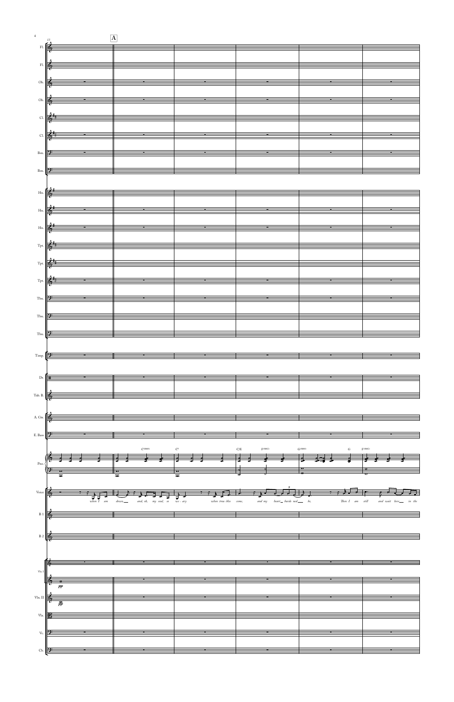